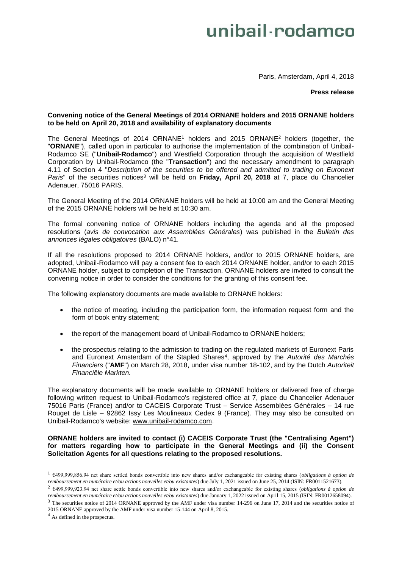# unibail·rodamco

Paris, Amsterdam, April 4, 2018

## **Press release**

## **Convening notice of the General Meetings of 2014 ORNANE holders and 2015 ORNANE holders to be held on April 20, 2018 and availability of explanatory documents**

The General Meetings of 2014 ORNANE<sup>1</sup> holders and 2015 ORNANE<sup>2</sup> holders (together, the "**ORNANE**"), called upon in particular to authorise the implementation of the combination of Unibail-Rodamco SE ("**Unibail-Rodamco**") and Westfield Corporation through the acquisition of Westfield Corporation by Unibail-Rodamco (the "**Transaction**") and the necessary amendment to paragraph 4.11 of Section 4 "*Description of the securities to be offered and admitted to trading on Euronext Paris*" of the securities notices <sup>3</sup> will be held on **Friday, April 20, 2018** at 7, place du Chancelier Adenauer, 75016 PARIS.

The General Meeting of the 2014 ORNANE holders will be held at 10:00 am and the General Meeting of the 2015 ORNANE holders will be held at 10:30 am.

The formal convening notice of ORNANE holders including the agenda and all the proposed resolutions (*avis de convocation aux Assemblées Générales*) was published in the *Bulletin des annonces légales obligatoires* (BALO) n°41.

If all the resolutions proposed to 2014 ORNANE holders, and/or to 2015 ORNANE holders, are adopted, Unibail-Rodamco will pay a consent fee to each 2014 ORNANE holder, and/or to each 2015 ORNANE holder, subject to completion of the Transaction. ORNANE holders are invited to consult the convening notice in order to consider the conditions for the granting of this consent fee.

The following explanatory documents are made available to ORNANE holders:

- the notice of meeting, including the participation form, the information request form and the form of book entry statement;
- the report of the management board of Unibail-Rodamco to ORNANE holders;
- the prospectus relating to the admission to trading on the regulated markets of Euronext Paris and Euronext Amsterdam of the Stapled Shares<sup>4</sup> , approved by the *Autorité des Marchés Financiers* ("**AMF**") on March 28, 2018, under visa number 18-102, and by the Dutch *Autoriteit Financiële Markten.*

The explanatory documents will be made available to ORNANE holders or delivered free of charge following written request to Unibail-Rodamco's registered office at 7, place du Chancelier Adenauer 75016 Paris (France) and/or to CACEIS Corporate Trust – Service Assemblées Générales – 14 rue Rouget de Lisle – 92862 Issy Les Moulineaux Cedex 9 (France). They may also be consulted on Unibail-Rodamco's website: [www.unibail-rodamco.com.](http://www.unibail-rodamco.com/)

**ORNANE holders are invited to contact (i) CACEIS Corporate Trust (the "Centralising Agent") for matters regarding how to participate in the General Meetings and (ii) the Consent Solicitation Agents for all questions relating to the proposed resolutions.** 

<u>.</u>

<sup>1</sup> €499,999,856.94 net share settled bonds convertible into new shares and/or exchangeable for existing shares (*obligations à option de remboursement en numéraire et/ou actions nouvelles et/ou existantes*) due July 1, 2021 issued on June 25, 2014 (ISIN: FR0011521673).

<sup>2</sup> €499,999,923.94 net share settle bonds convertible into new shares and/or exchangeable for existing shares (*obligations à option de remboursement en numéraire et/ou actions nouvelles et/ou existantes*) due January 1, 2022 issued on April 15, 2015 (ISIN: FR0012658094).

 $3$  The securities notice of 2014 ORNANE approved by the AMF under visa number 14-296 on June 17, 2014 and the securities notice of 2015 ORNANE approved by the AMF under visa number 15-144 on April 8, 2015.

<sup>4</sup> As defined in the prospectus.